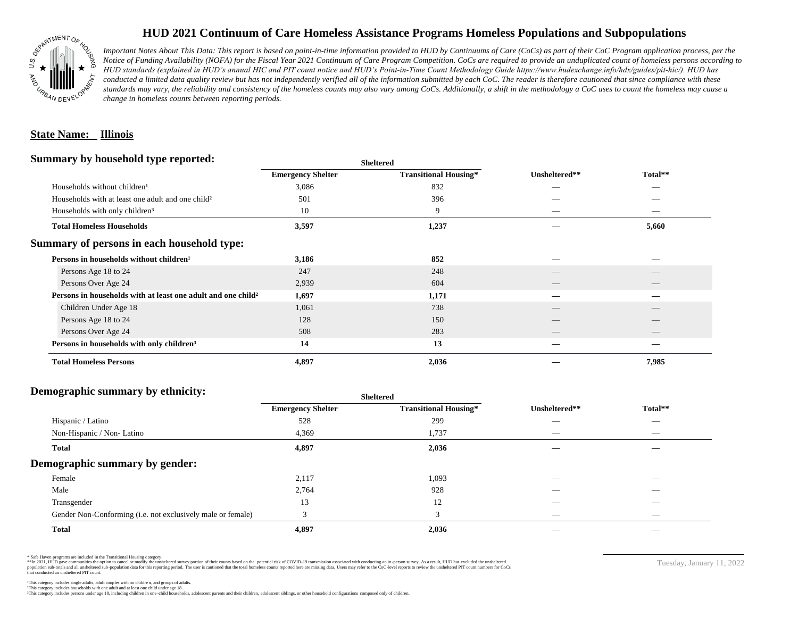

## **HUD 2021 Continuum of Care Homeless Assistance Programs Homeless Populations and Subpopulations**

*Important Notes About This Data: This report is based on point-in-time information provided to HUD by Continuums of Care (CoCs) as part of their CoC Program application process, per the Notice of Funding Availability (NOFA) for the Fiscal Year 2021 Continuum of Care Program Competition. CoCs are required to provide an unduplicated count of homeless persons according to HUD standards (explained in HUD's annual HIC and PIT count notice and HUD's Point-in-Time Count Methodology Guide https://www.hudexchange.info/hdx/guides/pit-hic/). HUD has*  conducted a limited data quality review but has not independently verified all of the information submitted by each CoC. The reader is therefore cautioned that since compliance with these standards may vary, the reliability and consistency of the homeless counts may also vary among CoCs. Additionally, a shift in the methodology a CoC uses to count the homeless may cause a *change in homeless counts between reporting periods.*

#### **State Name: Illinois**

#### **Summary by household type reported:**

|                          |                              |                          | Total**                        |
|--------------------------|------------------------------|--------------------------|--------------------------------|
| <b>Emergency Shelter</b> | <b>Transitional Housing*</b> | Unsheltered**            |                                |
| 3,086                    | 832                          |                          |                                |
| 501                      | 396                          |                          |                                |
| 10                       | 9                            |                          | $\overbrace{\hspace{25mm}}^{}$ |
| 3,597                    | 1,237                        |                          | 5,660                          |
|                          |                              |                          |                                |
| 3,186                    | 852                          |                          |                                |
| 247                      | 248                          |                          |                                |
| 2,939                    | 604                          | $\overline{\phantom{a}}$ | $\qquad \qquad$                |
| 1,697                    | 1,171                        |                          |                                |
| 1,061                    | 738                          |                          |                                |
| 128                      | 150                          |                          |                                |
| 508                      | 283                          |                          | $\qquad \qquad$                |
| 14                       | 13                           |                          |                                |
| 4,897                    | 2,036                        |                          | 7,985                          |
|                          |                              | <b>Sheltered</b>         |                                |

## **Demographic summary by ethnicity:**

|                                                             | <b>Sheltered</b>         |                              |                          |                                |  |
|-------------------------------------------------------------|--------------------------|------------------------------|--------------------------|--------------------------------|--|
|                                                             | <b>Emergency Shelter</b> | <b>Transitional Housing*</b> | Unsheltered**            | Total**                        |  |
| Hispanic / Latino                                           | 528                      | 299                          | _                        | $\overline{\phantom{a}}$       |  |
| Non-Hispanic / Non-Latino                                   | 4,369                    | 1,737                        | $\hspace{0.05cm}$        | $\overbrace{\hspace{25mm}}^{}$ |  |
| <b>Total</b>                                                | 4,897                    | 2,036                        |                          |                                |  |
| Demographic summary by gender:                              |                          |                              |                          |                                |  |
| Female                                                      | 2,117                    | 1,093                        | ___                      |                                |  |
| Male                                                        | 2,764                    | 928                          | __                       | $\overbrace{\hspace{25mm}}^{}$ |  |
| Transgender                                                 | 13                       | 12                           | $\hspace{0.05cm}$        | $\overbrace{\hspace{25mm}}^{}$ |  |
| Gender Non-Conforming (i.e. not exclusively male or female) | $\overline{\mathbf{c}}$  | 3                            | $\overline{\phantom{a}}$ | $\overline{\phantom{a}}$       |  |
| <b>Total</b>                                                | 4,897                    | 2,036                        |                          |                                |  |

\* Safe Haven programs are included in the Transitional Housing category.

\*\*In 2021, HUD gave communities the option to cancel or modify the unsheltered survey portion of their counts based on the potential risk of COVID-19 transmission associated with conducting an in-person survey. As a result n political and distribution of the resort in the constant of the experimental and the constant of the constant of the constant of the constant of the constant of the constant of the constant of the constant of the constan that conducted an unsheltered PIT count.